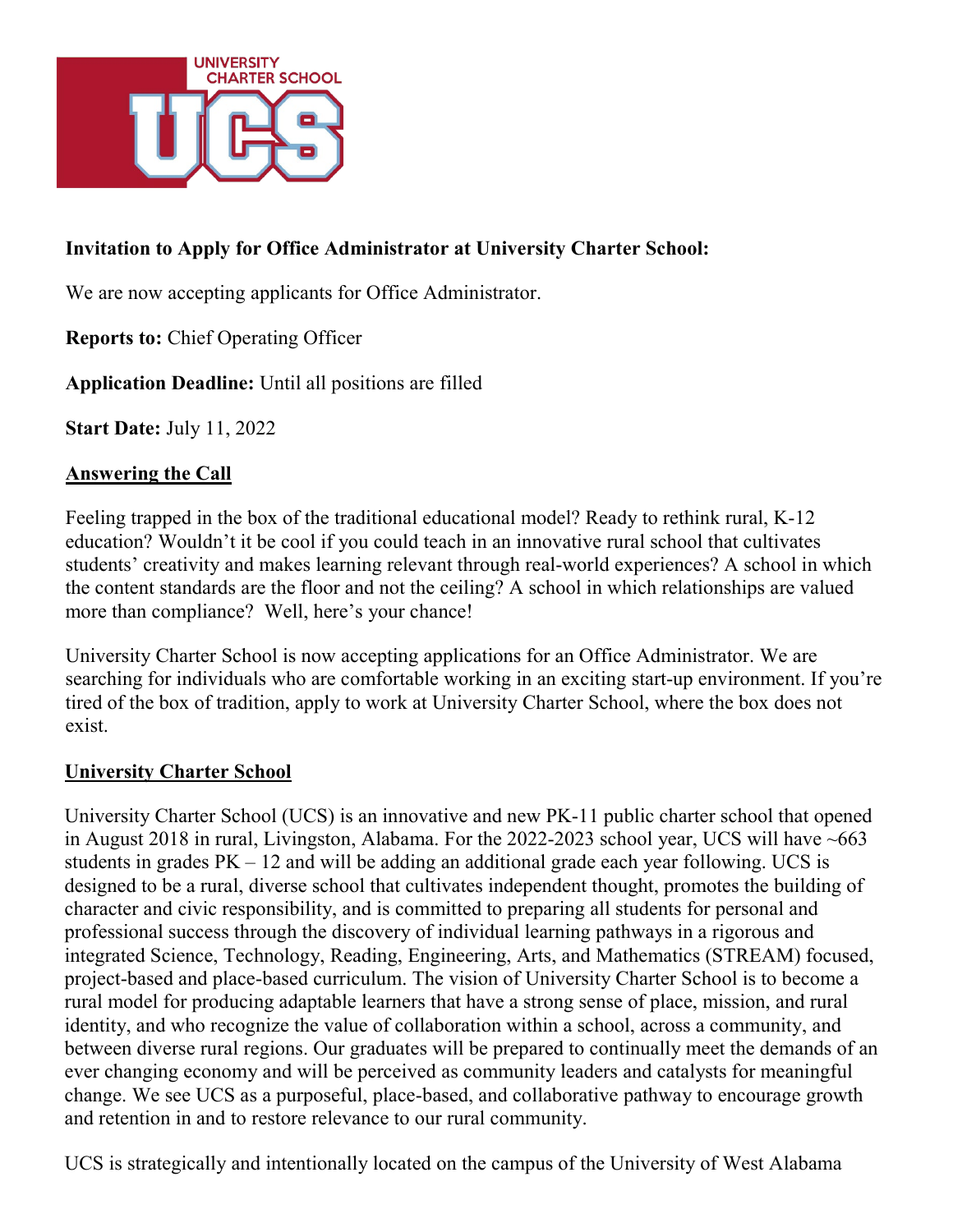

#### **Invitation to Apply for Office Administrator at University Charter School:**

We are now accepting applicants for Office Administrator.

**Reports to:** Chief Operating Officer

**Application Deadline:** Until all positions are filled

**Start Date:** July 11, 2022

#### **Answering the Call**

Feeling trapped in the box of the traditional educational model? Ready to rethink rural, K-12 education? Wouldn't it be cool if you could teach in an innovative rural school that cultivates students' creativity and makes learning relevant through real-world experiences? A school in which the content standards are the floor and not the ceiling? A school in which relationships are valued more than compliance? Well, here's your chance!

University Charter School is now accepting applications for an Office Administrator. We are searching for individuals who are comfortable working in an exciting start-up environment. If you're tired of the box of tradition, apply to work at University Charter School, where the box does not exist.

#### **University Charter School**

University Charter School (UCS) is an innovative and new PK-11 public charter school that opened in August 2018 in rural, Livingston, Alabama. For the 2022-2023 school year, UCS will have ~663 students in grades  $PK - 12$  and will be adding an additional grade each year following. UCS is designed to be a rural, diverse school that cultivates independent thought, promotes the building of character and civic responsibility, and is committed to preparing all students for personal and professional success through the discovery of individual learning pathways in a rigorous and integrated Science, Technology, Reading, Engineering, Arts, and Mathematics (STREAM) focused, project-based and place-based curriculum. The vision of University Charter School is to become a rural model for producing adaptable learners that have a strong sense of place, mission, and rural identity, and who recognize the value of collaboration within a school, across a community, and between diverse rural regions. Our graduates will be prepared to continually meet the demands of an ever changing economy and will be perceived as community leaders and catalysts for meaningful change. We see UCS as a purposeful, place-based, and collaborative pathway to encourage growth and retention in and to restore relevance to our rural community.

UCS is strategically and intentionally located on the campus of the University of West Alabama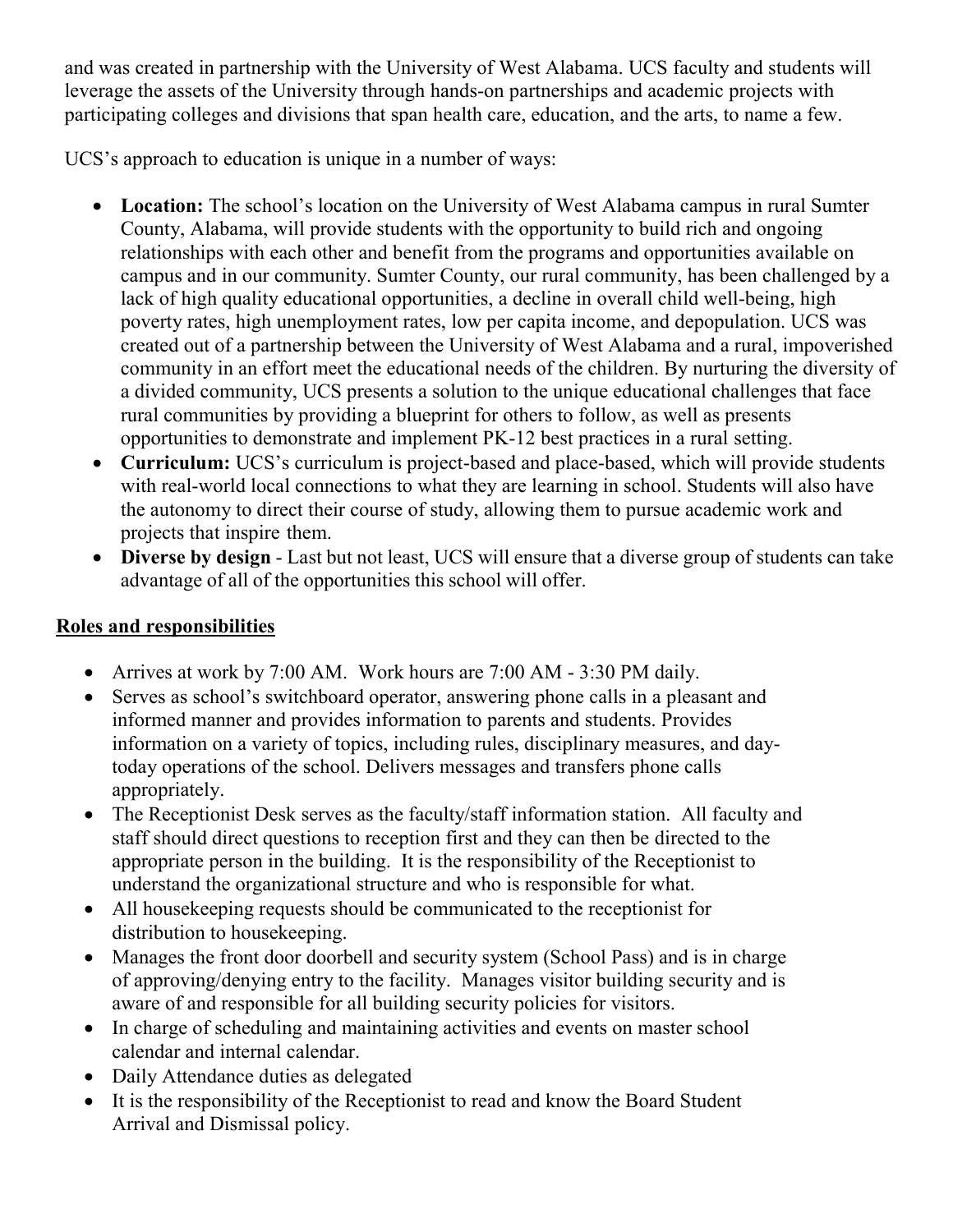and was created in partnership with the University of West Alabama. UCS faculty and students will leverage the assets of the University through hands-on partnerships and academic projects with participating colleges and divisions that span health care, education, and the arts, to name a few.

UCS's approach to education is unique in a number of ways:

- **Location:** The school's location on the University of West Alabama campus in rural Sumter County, Alabama, will provide students with the opportunity to build rich and ongoing relationships with each other and benefit from the programs and opportunities available on campus and in our community. Sumter County, our rural community, has been challenged by a lack of high quality educational opportunities, a decline in overall child well-being, high poverty rates, high unemployment rates, low per capita income, and depopulation. UCS was created out of a partnership between the University of West Alabama and a rural, impoverished community in an effort meet the educational needs of the children. By nurturing the diversity of a divided community, UCS presents a solution to the unique educational challenges that face rural communities by providing a blueprint for others to follow, as well as presents opportunities to demonstrate and implement PK-12 best practices in a rural setting.
- **Curriculum:** UCS's curriculum is project-based and place-based, which will provide students with real-world local connections to what they are learning in school. Students will also have the autonomy to direct their course of study, allowing them to pursue academic work and projects that inspire them.
- **Diverse by design** Last but not least, UCS will ensure that a diverse group of students can take advantage of all of the opportunities this school will offer.

# **Roles and responsibilities**

- Arrives at work by 7:00 AM. Work hours are 7:00 AM 3:30 PM daily.
- Serves as school's switchboard operator, answering phone calls in a pleasant and informed manner and provides information to parents and students. Provides information on a variety of topics, including rules, disciplinary measures, and daytoday operations of the school. Delivers messages and transfers phone calls appropriately.
- The Receptionist Desk serves as the faculty/staff information station. All faculty and staff should direct questions to reception first and they can then be directed to the appropriate person in the building. It is the responsibility of the Receptionist to understand the organizational structure and who is responsible for what.
- All housekeeping requests should be communicated to the receptionist for distribution to housekeeping.
- Manages the front door doorbell and security system (School Pass) and is in charge of approving/denying entry to the facility. Manages visitor building security and is aware of and responsible for all building security policies for visitors.
- In charge of scheduling and maintaining activities and events on master school calendar and internal calendar.
- Daily Attendance duties as delegated
- It is the responsibility of the Receptionist to read and know the Board Student Arrival and Dismissal policy.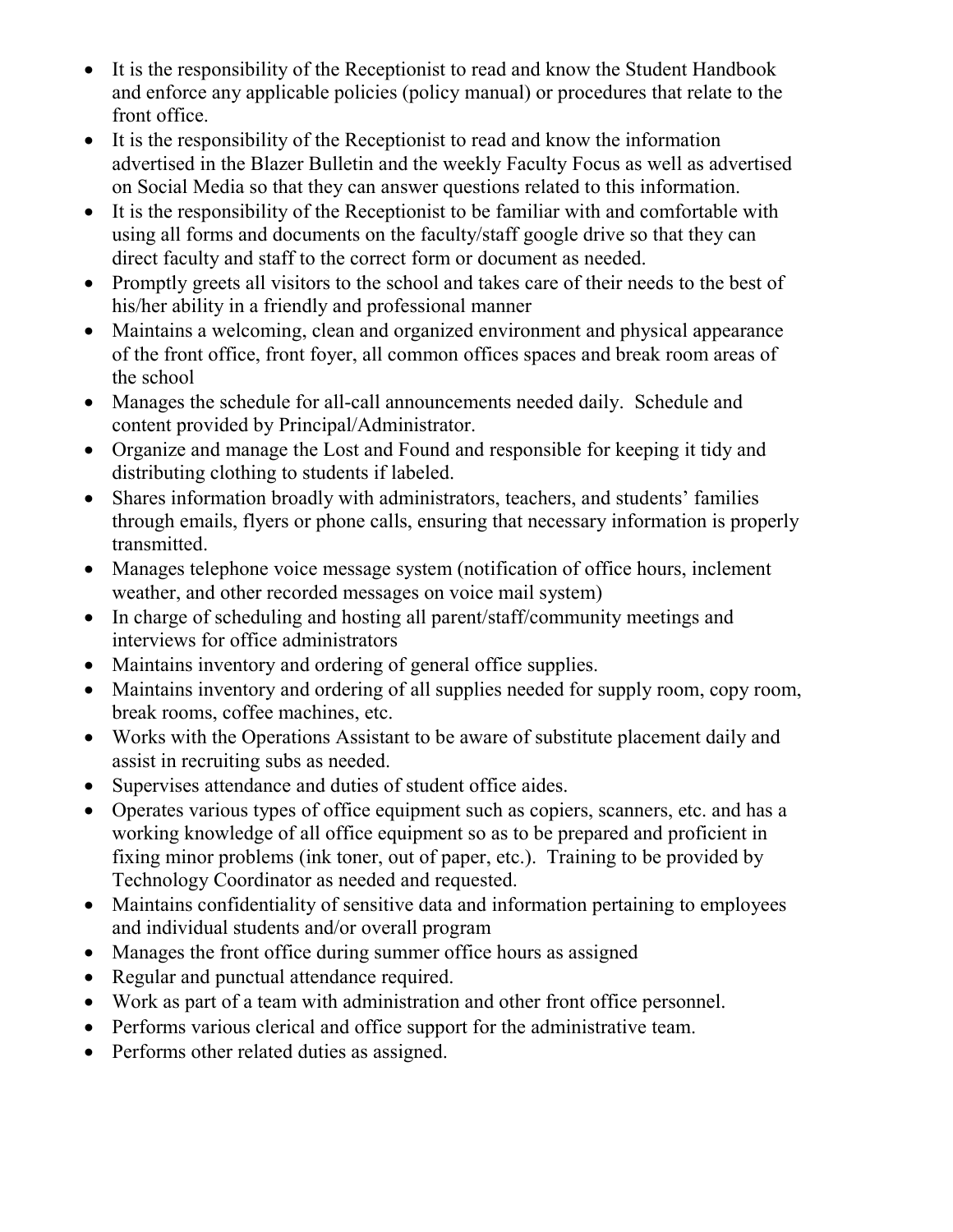- It is the responsibility of the Receptionist to read and know the Student Handbook and enforce any applicable policies (policy manual) or procedures that relate to the front office.
- It is the responsibility of the Receptionist to read and know the information advertised in the Blazer Bulletin and the weekly Faculty Focus as well as advertised on Social Media so that they can answer questions related to this information.
- It is the responsibility of the Receptionist to be familiar with and comfortable with using all forms and documents on the faculty/staff google drive so that they can direct faculty and staff to the correct form or document as needed.
- Promptly greets all visitors to the school and takes care of their needs to the best of his/her ability in a friendly and professional manner
- Maintains a welcoming, clean and organized environment and physical appearance of the front office, front foyer, all common offices spaces and break room areas of the school
- Manages the schedule for all-call announcements needed daily. Schedule and content provided by Principal/Administrator.
- Organize and manage the Lost and Found and responsible for keeping it tidy and distributing clothing to students if labeled.
- Shares information broadly with administrators, teachers, and students' families through emails, flyers or phone calls, ensuring that necessary information is properly transmitted.
- Manages telephone voice message system (notification of office hours, inclement weather, and other recorded messages on voice mail system)
- In charge of scheduling and hosting all parent/staff/community meetings and interviews for office administrators
- Maintains inventory and ordering of general office supplies.
- Maintains inventory and ordering of all supplies needed for supply room, copy room, break rooms, coffee machines, etc.
- Works with the Operations Assistant to be aware of substitute placement daily and assist in recruiting subs as needed.
- Supervises attendance and duties of student office aides.
- Operates various types of office equipment such as copiers, scanners, etc. and has a working knowledge of all office equipment so as to be prepared and proficient in fixing minor problems (ink toner, out of paper, etc.). Training to be provided by Technology Coordinator as needed and requested.
- Maintains confidentiality of sensitive data and information pertaining to employees and individual students and/or overall program
- Manages the front office during summer office hours as assigned
- Regular and punctual attendance required.
- Work as part of a team with administration and other front office personnel.
- Performs various clerical and office support for the administrative team.
- Performs other related duties as assigned.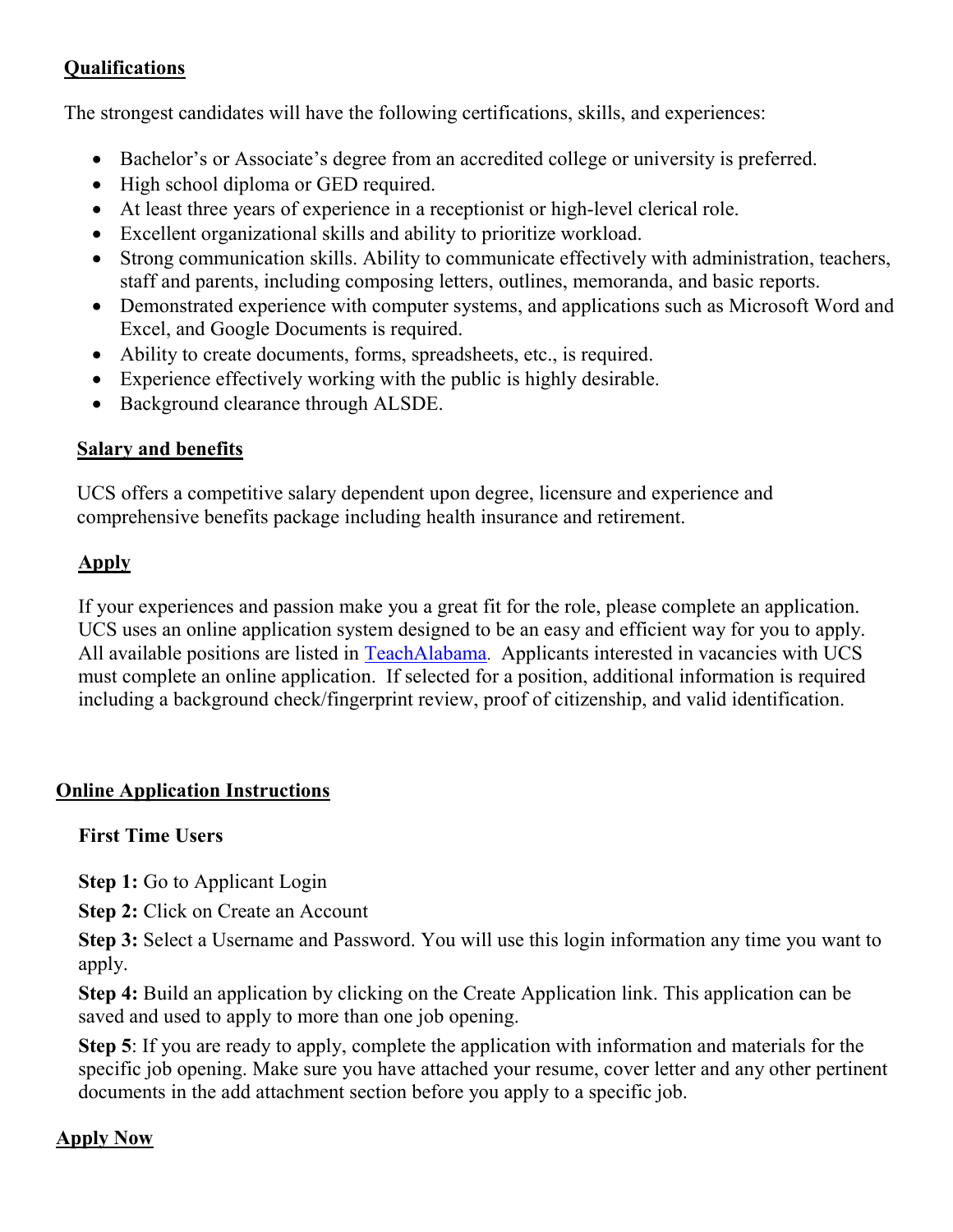#### **Qualifications**

The strongest candidates will have the following certifications, skills, and experiences:

- Bachelor's or Associate's degree from an accredited college or university is preferred.
- High school diploma or GED required.
- At least three years of experience in a receptionist or high-level clerical role.
- Excellent organizational skills and ability to prioritize workload.
- Strong communication skills. Ability to communicate effectively with administration, teachers, staff and parents, including composing letters, outlines, memoranda, and basic reports.
- Demonstrated experience with computer systems, and applications such as Microsoft Word and Excel, and Google Documents is required.
- Ability to create documents, forms, spreadsheets, etc., is required.
- Experience effectively working with the public is highly desirable.
- Background clearance through ALSDE.

# **Salary and benefits**

UCS offers a competitive salary dependent upon degree, licensure and experience and comprehensive benefits package including health insurance and retirement.

# **Apply**

If your experiences and passion make you a great fit for the role, please complete an application. UCS uses an online application system designed to be an easy and efficient way for you to apply. All available positions are listed in [TeachAlabama.](https://ats1.atenterprise.powerschool.com/ats/app_login?COMPANY_ID=00008500) Applicants interested in vacancies with UCS must complete an online application. If selected for a position, additional information is required including a background check/fingerprint review, proof of citizenship, and valid identification.

# **Online Application Instructions**

# **First Time Users**

**Step 1:** Go to Applicant Login

**Step 2: Click on Create an Account** 

**Step 3:** Select a Username and Password. You will use this login information any time you want to apply.

**Step 4:** Build an application by clicking on the Create Application link. This application can be saved and used to apply to more than one job opening.

**Step 5**: If you are ready to apply, complete the application with information and materials for the specific job opening. Make sure you have attached your resume, cover letter and any other pertinent documents in the add attachment section before you apply to a specific job.

# **Apply Now**